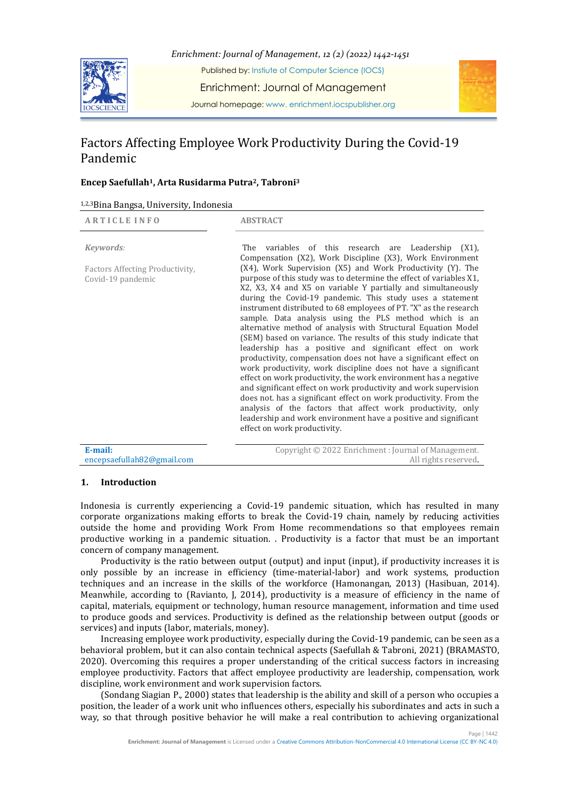

Journal homepage: www. enrichment.iocspublisher.org

# Factors Affecting Employee Work Productivity During the Covid-19 Pandemic

# **Encep Saefullah1, Arta Rusidarma Putra2, Tabroni<sup>3</sup>**

| 1,2,3 Bina Bangsa, University, Indonesia |  |  |
|------------------------------------------|--|--|
|------------------------------------------|--|--|

| <b>ARTICLE INFO</b>                                  | <b>ABSTRACT</b>                                                                                                                                                                                                                                                                                                                                                                                                                                                                                                                                                                                                                                                                                                                                                                                                                                                                                                                                                                                                                                                                                                    |
|------------------------------------------------------|--------------------------------------------------------------------------------------------------------------------------------------------------------------------------------------------------------------------------------------------------------------------------------------------------------------------------------------------------------------------------------------------------------------------------------------------------------------------------------------------------------------------------------------------------------------------------------------------------------------------------------------------------------------------------------------------------------------------------------------------------------------------------------------------------------------------------------------------------------------------------------------------------------------------------------------------------------------------------------------------------------------------------------------------------------------------------------------------------------------------|
| Keywords:                                            | variables of this research are Leadership<br>(X1)<br>The<br>Compensation (X2), Work Discipline (X3), Work Environment                                                                                                                                                                                                                                                                                                                                                                                                                                                                                                                                                                                                                                                                                                                                                                                                                                                                                                                                                                                              |
| Factors Affecting Productivity,<br>Covid-19 pandemic | (X4), Work Supervision (X5) and Work Productivity (Y). The<br>purpose of this study was to determine the effect of variables X1,<br>X2, X3, X4 and X5 on variable Y partially and simultaneously<br>during the Covid-19 pandemic. This study uses a statement<br>instrument distributed to 68 employees of PT. "X" as the research<br>sample. Data analysis using the PLS method which is an<br>alternative method of analysis with Structural Equation Model<br>(SEM) based on variance. The results of this study indicate that<br>leadership has a positive and significant effect on work<br>productivity, compensation does not have a significant effect on<br>work productivity, work discipline does not have a significant<br>effect on work productivity, the work environment has a negative<br>and significant effect on work productivity and work supervision<br>does not, has a significant effect on work productivity. From the<br>analysis of the factors that affect work productivity, only<br>leadership and work environment have a positive and significant<br>effect on work productivity. |
| $E$ mail.                                            | Contright @ 2022 Enrichment Journal of Managament                                                                                                                                                                                                                                                                                                                                                                                                                                                                                                                                                                                                                                                                                                                                                                                                                                                                                                                                                                                                                                                                  |

**E-mail:**  encepsaefullah82@gmail.com Copyright © 2022 Enrichment : Journal of Management. All rights reserved.

## **1. Introduction**

Indonesia is currently experiencing a Covid-19 pandemic situation, which has resulted in many corporate organizations making efforts to break the Covid-19 chain, namely by reducing activities outside the home and providing Work From Home recommendations so that employees remain productive working in a pandemic situation. . Productivity is a factor that must be an important concern of company management.

Productivity is the ratio between output (output) and input (input), if productivity increases it is only possible by an increase in efficiency (time-material-labor) and work systems, production techniques and an increase in the skills of the workforce (Hamonangan, 2013) (Hasibuan, 2014). Meanwhile, according to (Ravianto, J, 2014), productivity is a measure of efficiency in the name of capital, materials, equipment or technology, human resource management, information and time used to produce goods and services. Productivity is defined as the relationship between output (goods or services) and inputs (labor, materials, money).

Increasing employee work productivity, especially during the Covid-19 pandemic, can be seen as a behavioral problem, but it can also contain technical aspects (Saefullah & Tabroni, 2021) (BRAMASTO, 2020). Overcoming this requires a proper understanding of the critical success factors in increasing employee productivity. Factors that affect employee productivity are leadership, compensation, work discipline, work environment and work supervision factors.

(Sondang Siagian P., 2000) states that leadership is the ability and skill of a person who occupies a position, the leader of a work unit who influences others, especially his subordinates and acts in such a way, so that through positive behavior he will make a real contribution to achieving organizational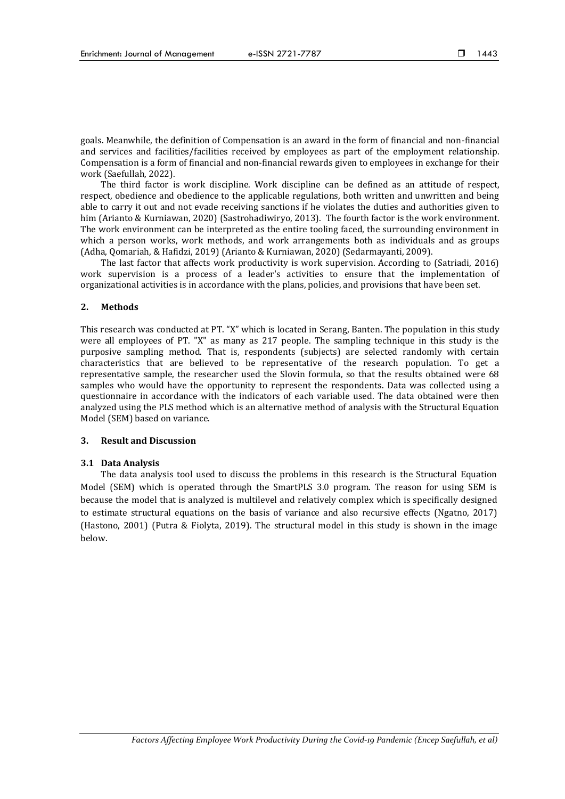goals. Meanwhile, the definition of Compensation is an award in the form of financial and non-financial and services and facilities/facilities received by employees as part of the employment relationship. Compensation is a form of financial and non-financial rewards given to employees in exchange for their work (Saefullah, 2022).

The third factor is work discipline. Work discipline can be defined as an attitude of respect, respect, obedience and obedience to the applicable regulations, both written and unwritten and being able to carry it out and not evade receiving sanctions if he violates the duties and authorities given to him (Arianto & Kurniawan, 2020) (Sastrohadiwiryo, 2013). The fourth factor is the work environment. The work environment can be interpreted as the entire tooling faced, the surrounding environment in which a person works, work methods, and work arrangements both as individuals and as groups (Adha, Qomariah, & Hafidzi, 2019) (Arianto & Kurniawan, 2020) (Sedarmayanti, 2009).

The last factor that affects work productivity is work supervision. According to (Satriadi, 2016) work supervision is a process of a leader's activities to ensure that the implementation of organizational activities is in accordance with the plans, policies, and provisions that have been set.

#### **2. Methods**

This research was conducted at PT. "X" which is located in Serang, Banten. The population in this study were all employees of PT. "X" as many as 217 people. The sampling technique in this study is the purposive sampling method. That is, respondents (subjects) are selected randomly with certain characteristics that are believed to be representative of the research population. To get a representative sample, the researcher used the Slovin formula, so that the results obtained were 68 samples who would have the opportunity to represent the respondents. Data was collected using a questionnaire in accordance with the indicators of each variable used. The data obtained were then analyzed using the PLS method which is an alternative method of analysis with the Structural Equation Model (SEM) based on variance.

## **3. Result and Discussion**

#### **3.1 Data Analysis**

The data analysis tool used to discuss the problems in this research is the Structural Equation Model (SEM) which is operated through the SmartPLS 3.0 program. The reason for using SEM is because the model that is analyzed is multilevel and relatively complex which is specifically designed to estimate structural equations on the basis of variance and also recursive effects (Ngatno, 2017) (Hastono, 2001) (Putra & Fiolyta, 2019). The structural model in this study is shown in the image below.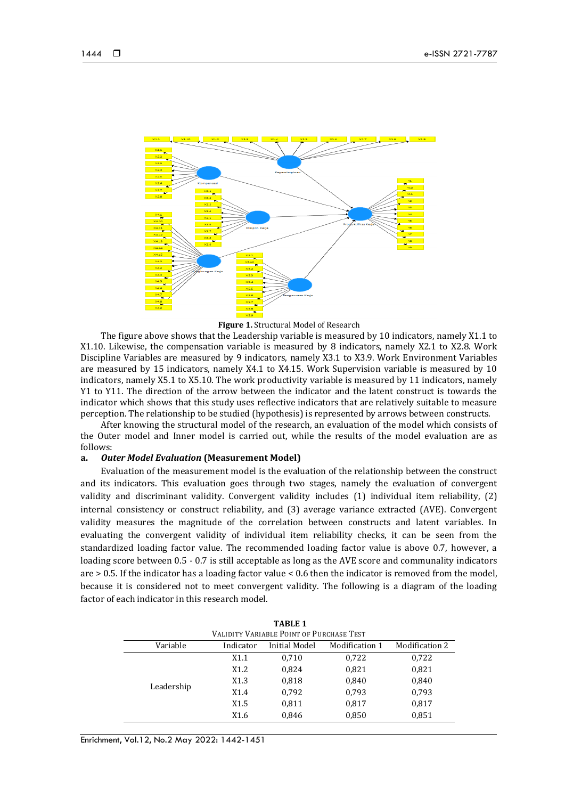

**Figure 1.** Structural Model of Research

The figure above shows that the Leadership variable is measured by 10 indicators, namely X1.1 to X1.10. Likewise, the compensation variable is measured by 8 indicators, namely X2.1 to X2.8. Work Discipline Variables are measured by 9 indicators, namely X3.1 to X3.9. Work Environment Variables are measured by 15 indicators, namely X4.1 to X4.15. Work Supervision variable is measured by 10 indicators, namely X5.1 to X5.10. The work productivity variable is measured by 11 indicators, namely Y1 to Y11. The direction of the arrow between the indicator and the latent construct is towards the indicator which shows that this study uses reflective indicators that are relatively suitable to measure perception. The relationship to be studied (hypothesis) is represented by arrows between constructs.

After knowing the structural model of the research, an evaluation of the model which consists of the Outer model and Inner model is carried out, while the results of the model evaluation are as follows:

#### **a.** *Outer Model Evaluation* **(Measurement Model)**

Evaluation of the measurement model is the evaluation of the relationship between the construct and its indicators. This evaluation goes through two stages, namely the evaluation of convergent validity and discriminant validity. Convergent validity includes (1) individual item reliability, (2) internal consistency or construct reliability, and (3) average variance extracted (AVE). Convergent validity measures the magnitude of the correlation between constructs and latent variables. In evaluating the convergent validity of individual item reliability checks, it can be seen from the standardized loading factor value. The recommended loading factor value is above 0.7, however, a loading score between 0.5 - 0.7 is still acceptable as long as the AVE score and communality indicators are > 0.5. If the indicator has a loading factor value < 0.6 then the indicator is removed from the model, because it is considered not to meet convergent validity. The following is a diagram of the loading factor of each indicator in this research model.

| <b>TABLE 1</b> |           |                                          |                |                |  |  |
|----------------|-----------|------------------------------------------|----------------|----------------|--|--|
|                |           | VALIDITY VARIABLE POINT OF PURCHASE TEST |                |                |  |  |
| Variable       | Indicator | Initial Model                            | Modification 1 | Modification 2 |  |  |
|                | X1.1      | 0,710                                    | 0,722          | 0,722          |  |  |
|                | X1.2      | 0,824                                    | 0,821          | 0,821          |  |  |
|                | X1.3      | 0,818                                    | 0,840          | 0,840          |  |  |
| Leadership     | X1.4      | 0,792                                    | 0,793          | 0,793          |  |  |
|                | X1.5      | 0,811                                    | 0,817          | 0,817          |  |  |
|                | X1.6      | 0,846                                    | 0,850          | 0,851          |  |  |

Enrichment, Vol.12, No.2 May 2022: 1442-1451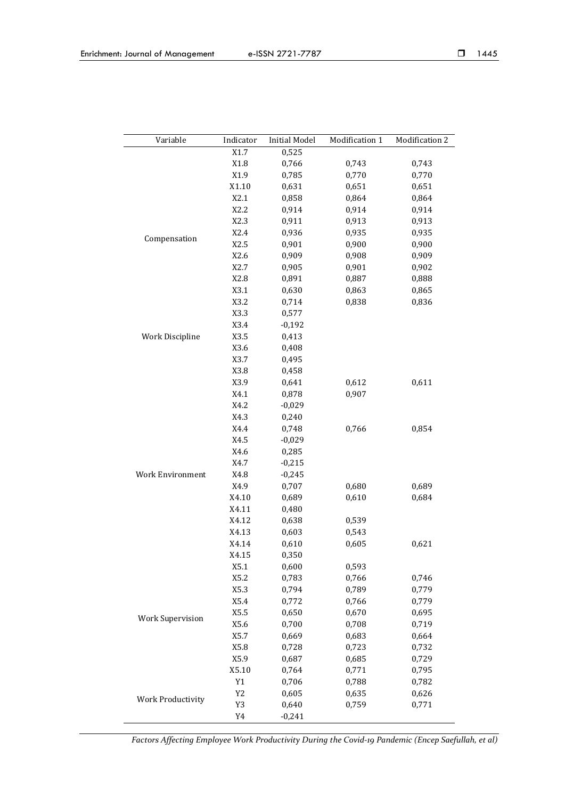| Variable                 | Indicator      | <b>Initial Model</b> | Modification 1 | Modification 2 |
|--------------------------|----------------|----------------------|----------------|----------------|
|                          | X1.7           | 0,525                |                |                |
|                          | X1.8           | 0,766                | 0,743          | 0,743          |
|                          | X1.9           | 0,785                | 0,770          | 0,770          |
|                          | X1.10          | 0,631                | 0,651          | 0,651          |
|                          | X2.1           | 0,858                | 0,864          | 0,864          |
|                          | X2.2           | 0,914                | 0,914          | 0,914          |
|                          | X2.3           | 0,911                | 0,913          | 0,913          |
|                          | X2.4           | 0,936                | 0,935          | 0,935          |
| Compensation             | X2.5           | 0,901                | 0,900          | 0,900          |
|                          | X2.6           | 0,909                | 0,908          | 0,909          |
|                          | X2.7           | 0,905                | 0,901          | 0,902          |
|                          | X2.8           | 0,891                | 0,887          | 0,888          |
|                          | X3.1           | 0,630                | 0,863          | 0,865          |
|                          | X3.2           | 0,714                | 0,838          | 0,836          |
|                          | X3.3           | 0,577                |                |                |
|                          | X3.4           | $-0,192$             |                |                |
| Work Discipline          | X3.5           | 0,413                |                |                |
|                          | X3.6           | 0,408                |                |                |
|                          | X3.7           | 0,495                |                |                |
|                          | X3.8           | 0,458                |                |                |
|                          | X3.9           | 0,641                | 0,612          | 0,611          |
|                          | X4.1           | 0,878                | 0,907          |                |
|                          | X4.2           | $-0,029$             |                |                |
|                          | X4.3           | 0,240                |                |                |
|                          | X4.4           | 0,748                | 0,766          | 0,854          |
|                          | X4.5           | $-0,029$             |                |                |
|                          | X4.6           | 0,285                |                |                |
|                          | X4.7           | $-0,215$             |                |                |
| Work Environment         | X4.8           | $-0,245$             |                |                |
|                          | X4.9           | 0,707                | 0,680          | 0,689          |
|                          | X4.10          | 0,689                | 0,610          | 0,684          |
|                          | X4.11          | 0,480                |                |                |
|                          | X4.12          | 0,638                | 0,539          |                |
|                          | X4.13          | 0,603                | 0,543          |                |
|                          | X4.14          | 0,610                | 0,605          | 0,621          |
|                          | X4.15          | 0,350                |                |                |
|                          | X5.1           | 0,600                | 0,593          |                |
|                          | X5.2           | 0,783                | 0,766          | 0,746          |
|                          | X5.3           | 0,794                | 0,789          | 0,779          |
|                          | X5.4           | 0,772                | 0,766          | 0,779          |
|                          | X5.5           | 0,650                | 0,670          | 0,695          |
| <b>Work Supervision</b>  | X5.6           | 0,700                | 0,708          | 0,719          |
|                          | X5.7           | 0,669                | 0,683          | 0,664          |
|                          | X5.8           | 0,728                | 0,723          | 0,732          |
|                          | X5.9           | 0,687                | 0,685          | 0,729          |
|                          | X5.10          | 0,764                | 0,771          | 0,795          |
|                          | Y1             | 0,706                | 0,788          | 0,782          |
|                          | Y <sub>2</sub> | 0,605                | 0,635          | 0,626          |
| <b>Work Productivity</b> | Y3             | 0,640                | 0,759          | 0,771          |
|                          | $\,$ Y4        | $-0,241$             |                |                |
|                          |                |                      |                |                |

*Factors Affecting Employee Work Productivity During the Covid-19 Pandemic (Encep Saefullah, et al)*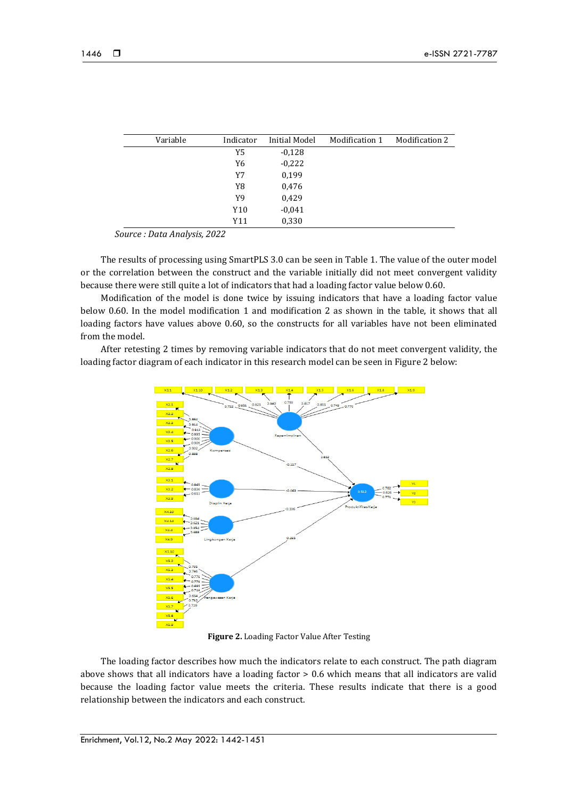| Variable | Indicator | <b>Initial Model</b> | Modification 1 | Modification 2 |
|----------|-----------|----------------------|----------------|----------------|
|          | Y5        | $-0,128$             |                |                |
|          | Y6        | $-0,222$             |                |                |
|          | Y7        | 0,199                |                |                |
|          | Y8        | 0,476                |                |                |
|          | Y9        | 0,429                |                |                |
|          | Y10       | $-0,041$             |                |                |
|          | Y11       | 0,330                |                |                |

*Source : Data Analysis, 2022*

The results of processing using SmartPLS 3.0 can be seen in Table 1. The value of the outer model or the correlation between the construct and the variable initially did not meet convergent validity because there were still quite a lot of indicators that had a loading factor value below 0.60.

Modification of the model is done twice by issuing indicators that have a loading factor value below 0.60. In the model modification 1 and modification 2 as shown in the table, it shows that all loading factors have values above 0.60, so the constructs for all variables have not been eliminated from the model.

After retesting 2 times by removing variable indicators that do not meet convergent validity, the loading factor diagram of each indicator in this research model can be seen in Figure 2 below:



**Figure 2.** Loading Factor Value After Testing

The loading factor describes how much the indicators relate to each construct. The path diagram above shows that all indicators have a loading factor > 0.6 which means that all indicators are valid because the loading factor value meets the criteria. These results indicate that there is a good relationship between the indicators and each construct.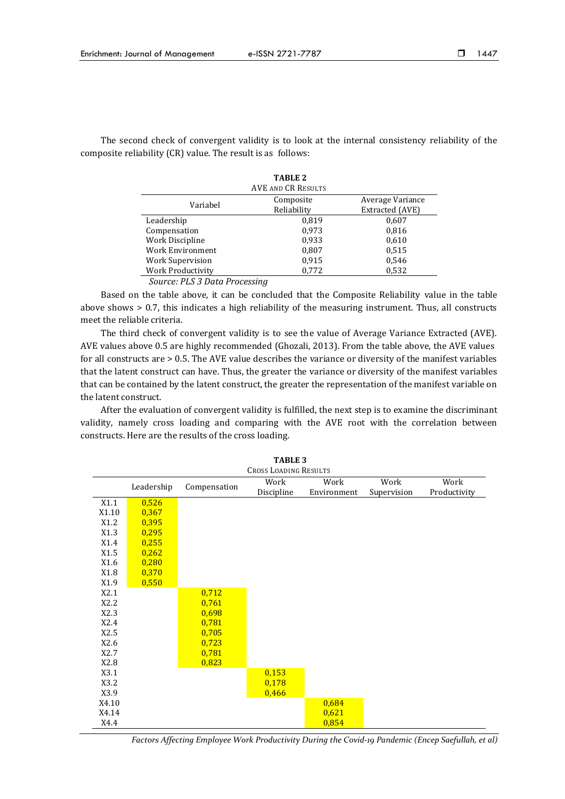The second check of convergent validity is to look at the internal consistency reliability of the composite reliability (CR) value. The result is as follows:

| <b>TABLE 2</b>                |                           |                  |  |  |  |  |  |
|-------------------------------|---------------------------|------------------|--|--|--|--|--|
|                               | <b>AVE AND CR RESULTS</b> |                  |  |  |  |  |  |
| Variabel                      | Composite                 | Average Variance |  |  |  |  |  |
|                               | Reliability               | Extracted (AVE)  |  |  |  |  |  |
| Leadership                    | 0.819                     | 0,607            |  |  |  |  |  |
| Compensation                  | 0.973                     | 0,816            |  |  |  |  |  |
| Work Discipline               | 0,933                     | 0,610            |  |  |  |  |  |
| Work Environment              | 0,807                     | 0,515            |  |  |  |  |  |
| Work Supervision              | 0,915                     | 0,546            |  |  |  |  |  |
| Work Productivity             | 0,772                     | 0,532            |  |  |  |  |  |
| Source: PLS 3 Data Processing |                           |                  |  |  |  |  |  |

Based on the table above, it can be concluded that the Composite Reliability value in the table above shows > 0.7, this indicates a high reliability of the measuring instrument. Thus, all constructs meet the reliable criteria.

The third check of convergent validity is to see the value of Average Variance Extracted (AVE). AVE values above 0.5 are highly recommended (Ghozali, 2013). From the table above, the AVE values for all constructs are > 0.5. The AVE value describes the variance or diversity of the manifest variables that the latent construct can have. Thus, the greater the variance or diversity of the manifest variables that can be contained by the latent construct, the greater the representation of the manifest variable on the latent construct.

After the evaluation of convergent validity is fulfilled, the next step is to examine the discriminant validity, namely cross loading and comparing with the AVE root with the correlation between constructs. Here are the results of the cross loading.

|       | <b>TABLE 3</b>                                             |       |            |             |             |              |  |  |  |
|-------|------------------------------------------------------------|-------|------------|-------------|-------------|--------------|--|--|--|
|       | <b>CROSS LOADING RESULTS</b>                               |       |            |             |             |              |  |  |  |
|       | Work<br>Work<br>Work<br>Work<br>Leadership<br>Compensation |       |            |             |             |              |  |  |  |
|       |                                                            |       | Discipline | Environment | Supervision | Productivity |  |  |  |
| X1.1  | 0,526                                                      |       |            |             |             |              |  |  |  |
| X1.10 | 0,367                                                      |       |            |             |             |              |  |  |  |
| X1.2  | 0,395                                                      |       |            |             |             |              |  |  |  |
| X1.3  | 0,295                                                      |       |            |             |             |              |  |  |  |
| X1.4  | 0,255                                                      |       |            |             |             |              |  |  |  |
| X1.5  | 0,262                                                      |       |            |             |             |              |  |  |  |
| X1.6  | 0,280                                                      |       |            |             |             |              |  |  |  |
| X1.8  | 0,370                                                      |       |            |             |             |              |  |  |  |
| X1.9  | 0,550                                                      |       |            |             |             |              |  |  |  |
| X2.1  |                                                            | 0,712 |            |             |             |              |  |  |  |
| X2.2  |                                                            | 0,761 |            |             |             |              |  |  |  |
| X2.3  |                                                            | 0,698 |            |             |             |              |  |  |  |
| X2.4  |                                                            | 0,781 |            |             |             |              |  |  |  |
| X2.5  |                                                            | 0,705 |            |             |             |              |  |  |  |
| X2.6  |                                                            | 0,723 |            |             |             |              |  |  |  |
| X2.7  |                                                            | 0,781 |            |             |             |              |  |  |  |
| X2.8  |                                                            | 0,823 |            |             |             |              |  |  |  |
| X3.1  |                                                            |       | 0,153      |             |             |              |  |  |  |
| X3.2  |                                                            |       | 0,178      |             |             |              |  |  |  |
| X3.9  |                                                            |       | 0,466      |             |             |              |  |  |  |
| X4.10 |                                                            |       |            | 0,684       |             |              |  |  |  |
| X4.14 |                                                            |       |            | 0,621       |             |              |  |  |  |
| X4.4  |                                                            |       |            | 0,854       |             |              |  |  |  |

*Factors Affecting Employee Work Productivity During the Covid-19 Pandemic (Encep Saefullah, et al)*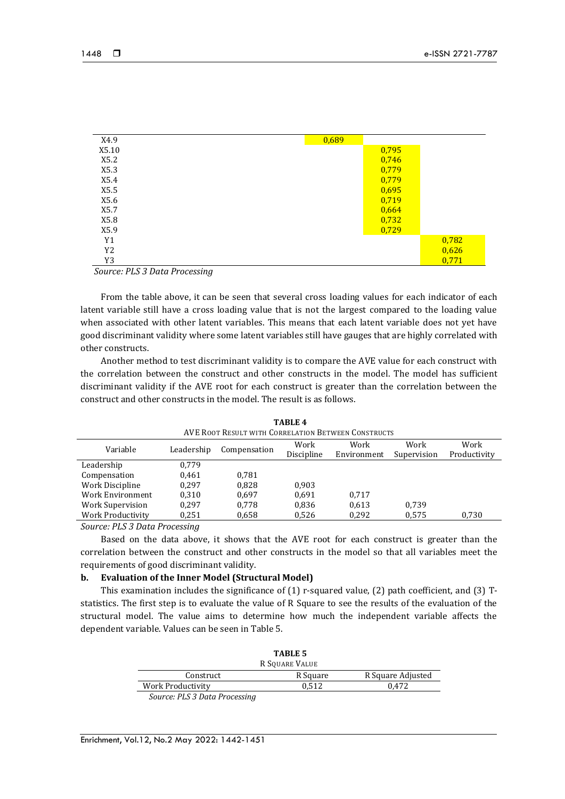| X4.9  | 0,689 |       |       |
|-------|-------|-------|-------|
| X5.10 |       | 0,795 |       |
| X5.2  |       | 0,746 |       |
| X5.3  |       | 0,779 |       |
| X5.4  |       | 0,779 |       |
| X5.5  |       | 0,695 |       |
| X5.6  |       | 0,719 |       |
| X5.7  |       | 0,664 |       |
| X5.8  |       | 0,732 |       |
| X5.9  |       | 0,729 |       |
| Y1    |       |       | 0,782 |
| Y2    |       |       | 0,626 |
| Y3    |       |       | 0,771 |

*Source: PLS 3 Data Processing*

From the table above, it can be seen that several cross loading values for each indicator of each latent variable still have a cross loading value that is not the largest compared to the loading value when associated with other latent variables. This means that each latent variable does not yet have good discriminant validity where some latent variables still have gauges that are highly correlated with other constructs.

Another method to test discriminant validity is to compare the AVE value for each construct with the correlation between the construct and other constructs in the model. The model has sufficient discriminant validity if the AVE root for each construct is greater than the correlation between the construct and other constructs in the model. The result is as follows.

| AVE ROOT RESULT WITH CORRELATION BETWEEN CONSTRUCTS |                                                                                                                                                                                                                                                                                                                                                                                                                     |              |            |             |             |              |  |
|-----------------------------------------------------|---------------------------------------------------------------------------------------------------------------------------------------------------------------------------------------------------------------------------------------------------------------------------------------------------------------------------------------------------------------------------------------------------------------------|--------------|------------|-------------|-------------|--------------|--|
| Variable                                            | Leadership                                                                                                                                                                                                                                                                                                                                                                                                          | Compensation | Work       | Work        | Work        | Work         |  |
|                                                     |                                                                                                                                                                                                                                                                                                                                                                                                                     |              | Discipline | Environment | Supervision | Productivity |  |
| Leadership                                          | 0,779                                                                                                                                                                                                                                                                                                                                                                                                               |              |            |             |             |              |  |
| Compensation                                        | 0.461                                                                                                                                                                                                                                                                                                                                                                                                               | 0.781        |            |             |             |              |  |
| Work Discipline                                     | 0.297                                                                                                                                                                                                                                                                                                                                                                                                               | 0.828        | 0.903      |             |             |              |  |
| Work Environment                                    | 0.310                                                                                                                                                                                                                                                                                                                                                                                                               | 0.697        | 0.691      | 0.717       |             |              |  |
| Work Supervision                                    | 0.297                                                                                                                                                                                                                                                                                                                                                                                                               | 0.778        | 0,836      | 0,613       | 0.739       |              |  |
| Work Productivity                                   | 0,251                                                                                                                                                                                                                                                                                                                                                                                                               | 0,658        | 0,526      | 0,292       | 0,575       | 0,730        |  |
|                                                     | $C_{\alpha}$ , $\alpha$ , $\alpha$ , $\alpha$ , $\alpha$ , $\alpha$ , $\alpha$ , $\alpha$ , $\alpha$ , $\alpha$ , $\alpha$ , $\alpha$ , $\alpha$ , $\alpha$ , $\alpha$ , $\alpha$ , $\alpha$ , $\alpha$ , $\alpha$ , $\alpha$ , $\alpha$ , $\alpha$ , $\alpha$ , $\alpha$ , $\alpha$ , $\alpha$ , $\alpha$ , $\alpha$ , $\alpha$ , $\alpha$ , $\alpha$ , $\alpha$ , $\alpha$ , $\alpha$ , $\alpha$ , $\alpha$ , $\$ |              |            |             |             |              |  |

**TABLE 4**

*Source: PLS 3 Data Processing*

Based on the data above, it shows that the AVE root for each construct is greater than the correlation between the construct and other constructs in the model so that all variables meet the requirements of good discriminant validity.

#### **b. Evaluation of the Inner Model (Structural Model)**

This examination includes the significance of (1) r-squared value, (2) path coefficient, and (3) Tstatistics. The first step is to evaluate the value of R Square to see the results of the evaluation of the structural model. The value aims to determine how much the independent variable affects the dependent variable. Values can be seen in Table 5.

|                                                                                                                                                             | TABLE 5<br>R SOUARE VALUE |                   |
|-------------------------------------------------------------------------------------------------------------------------------------------------------------|---------------------------|-------------------|
| Construct                                                                                                                                                   | R Square                  | R Square Adjusted |
| Work Productivity                                                                                                                                           | 0.512                     | 0.472             |
| $C_2$ , $\mu$ <sub>22</sub> , $\frac{1}{2}$ $\frac{1}{2}$ $\frac{1}{2}$ $\frac{1}{2}$ $\frac{1}{2}$ $\frac{1}{2}$ $\frac{1}{2}$ $\frac{1}{2}$ $\frac{1}{2}$ |                           |                   |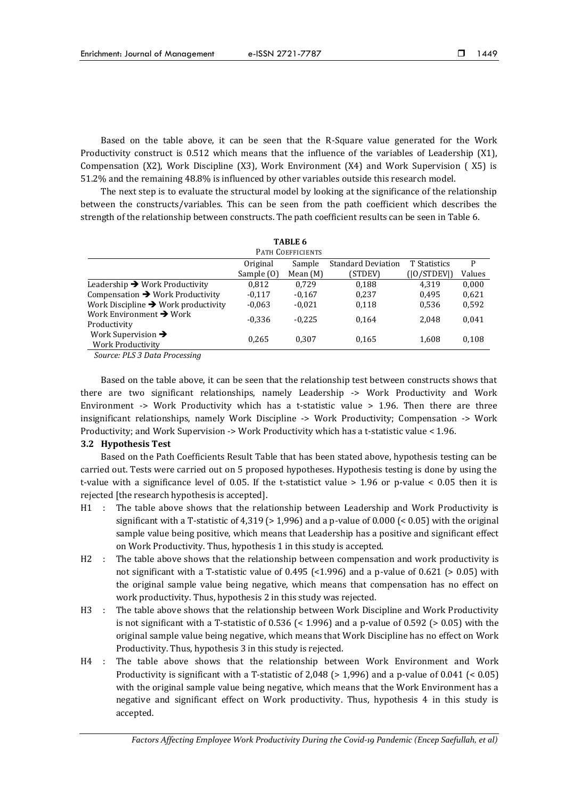Based on the table above, it can be seen that the R-Square value generated for the Work Productivity construct is 0.512 which means that the influence of the variables of Leadership (X1), Compensation (X2), Work Discipline (X3), Work Environment (X4) and Work Supervision ( X5) is 51.2% and the remaining 48.8% is influenced by other variables outside this research model.

The next step is to evaluate the structural model by looking at the significance of the relationship between the constructs/variables. This can be seen from the path coefficient which describes the strength of the relationship between constructs. The path coefficient results can be seen in Table 6.

| TABLE 6                                             |            |                   |                           |                     |        |
|-----------------------------------------------------|------------|-------------------|---------------------------|---------------------|--------|
|                                                     |            | PATH COEFFICIENTS |                           |                     |        |
|                                                     | Original   | Sample            | <b>Standard Deviation</b> | <b>T</b> Statistics | P      |
|                                                     | Sample (0) | Mean (M)          | (STDEV)                   | ( 0 STDEV )         | Values |
| Leadership $\rightarrow$ Work Productivity          | 0.812      | 0.729             | 0.188                     | 4.319               | 0,000  |
| Compensation $\rightarrow$ Work Productivity        | $-0.117$   | $-0,167$          | 0.237                     | 0.495               | 0,621  |
| Work Discipline $\rightarrow$ Work productivity     | $-0.063$   | $-0.021$          | 0,118                     | 0,536               | 0,592  |
| Work Environment $\rightarrow$ Work<br>Productivity | $-0.336$   | $-0.225$          | 0.164                     | 2.048               | 0,041  |
| Work Supervision $\rightarrow$<br>Work Productivity | 0.265      | 0.307             | 0.165                     | 1,608               | 0,108  |

*Source: PLS 3 Data Processing*

Based on the table above, it can be seen that the relationship test between constructs shows that there are two significant relationships, namely Leadership -> Work Productivity and Work Environment  $\rightarrow$  Work Productivity which has a t-statistic value  $>$  1.96. Then there are three insignificant relationships, namely Work Discipline -> Work Productivity; Compensation -> Work Productivity; and Work Supervision -> Work Productivity which has a t-statistic value < 1.96.

#### **3.2 Hypothesis Test**

Based on the Path Coefficients Result Table that has been stated above, hypothesis testing can be carried out. Tests were carried out on 5 proposed hypotheses. Hypothesis testing is done by using the t-value with a significance level of 0.05. If the t-statistict value > 1.96 or p-value < 0.05 then it is rejected [the research hypothesis is accepted].

- H1 : The table above shows that the relationship between Leadership and Work Productivity is significant with a T-statistic of 4,319 ( $> 1,996$ ) and a p-value of 0.000 ( $< 0.05$ ) with the original sample value being positive, which means that Leadership has a positive and significant effect on Work Productivity. Thus, hypothesis 1 in this study is accepted.
- H2 : The table above shows that the relationship between compensation and work productivity is not significant with a T-statistic value of  $0.495$  (<1.996) and a p-value of  $0.621$  (> 0.05) with the original sample value being negative, which means that compensation has no effect on work productivity. Thus, hypothesis 2 in this study was rejected.
- H3 : The table above shows that the relationship between Work Discipline and Work Productivity is not significant with a T-statistic of 0.536 ( $\leq$  1.996) and a p-value of 0.592 ( $\geq$  0.05) with the original sample value being negative, which means that Work Discipline has no effect on Work Productivity. Thus, hypothesis 3 in this study is rejected.
- H4 : The table above shows that the relationship between Work Environment and Work Productivity is significant with a T-statistic of  $2,048$  ( $> 1,996$ ) and a p-value of  $0.041$  ( $< 0.05$ ) with the original sample value being negative, which means that the Work Environment has a negative and significant effect on Work productivity. Thus, hypothesis 4 in this study is accepted.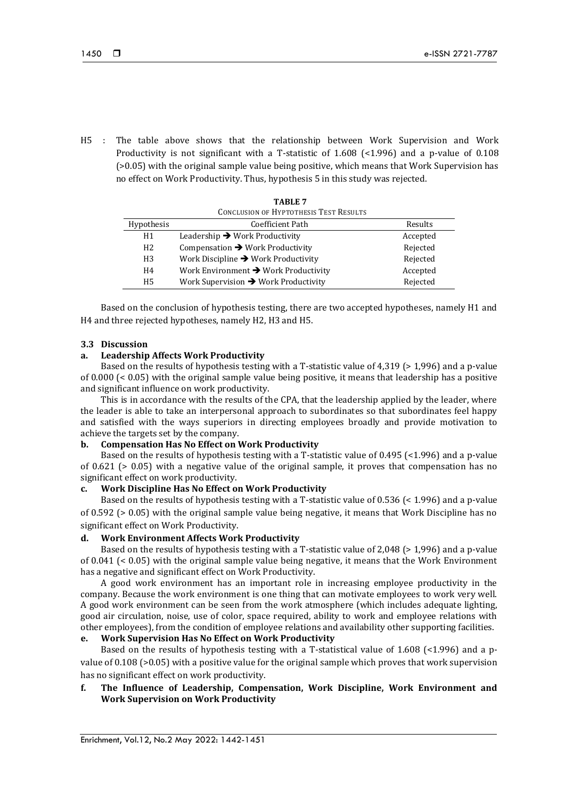H5 : The table above shows that the relationship between Work Supervision and Work Productivity is not significant with a T-statistic of 1.608 (<1.996) and a p-value of 0.108 (>0.05) with the original sample value being positive, which means that Work Supervision has no effect on Work Productivity. Thus, hypothesis 5 in this study was rejected.

| <b>CONCLUSION OF HYPTOTHESIS TEST RESULTS</b> |                                                  |          |  |
|-----------------------------------------------|--------------------------------------------------|----------|--|
| Hypothesis                                    | Coefficient Path                                 | Results  |  |
| H1                                            | Leadership $\rightarrow$ Work Productivity       | Accepted |  |
| H2                                            | Compensation $\rightarrow$ Work Productivity     | Rejected |  |
| H <sub>3</sub>                                | Work Discipline $\rightarrow$ Work Productivity  | Rejected |  |
| H <sub>4</sub>                                | Work Environment $\rightarrow$ Work Productivity | Accepted |  |
| H <sub>5</sub>                                | Work Supervision $\rightarrow$ Work Productivity | Rejected |  |

| TABLE 7                                       |  |  |
|-----------------------------------------------|--|--|
| <b>CONCLUSION OF HYPTOTHESIS TEST RESULTS</b> |  |  |

Based on the conclusion of hypothesis testing, there are two accepted hypotheses, namely H1 and H4 and three rejected hypotheses, namely H2, H3 and H5.

## **3.3 Discussion**

## **a. Leadership Affects Work Productivity**

Based on the results of hypothesis testing with a T-statistic value of 4,319 (> 1,996) and a p-value of 0.000 (< 0.05) with the original sample value being positive, it means that leadership has a positive and significant influence on work productivity.

This is in accordance with the results of the CPA, that the leadership applied by the leader, where the leader is able to take an interpersonal approach to subordinates so that subordinates feel happy and satisfied with the ways superiors in directing employees broadly and provide motivation to achieve the targets set by the company.

## **b. Compensation Has No Effect on Work Productivity**

Based on the results of hypothesis testing with a T-statistic value of 0.495 (<1.996) and a p-value of 0.621 (> 0.05) with a negative value of the original sample, it proves that compensation has no significant effect on work productivity.

## **c. Work Discipline Has No Effect on Work Productivity**

Based on the results of hypothesis testing with a T-statistic value of 0.536 (< 1.996) and a p-value of 0.592 (> 0.05) with the original sample value being negative, it means that Work Discipline has no significant effect on Work Productivity.

# **d. Work Environment Affects Work Productivity**

Based on the results of hypothesis testing with a T-statistic value of 2,048 (> 1,996) and a p-value of 0.041 (< 0.05) with the original sample value being negative, it means that the Work Environment has a negative and significant effect on Work Productivity.

A good work environment has an important role in increasing employee productivity in the company. Because the work environment is one thing that can motivate employees to work very well. A good work environment can be seen from the work atmosphere (which includes adequate lighting, good air circulation, noise, use of color, space required, ability to work and employee relations with other employees), from the condition of employee relations and availability other supporting facilities.

# **e. Work Supervision Has No Effect on Work Productivity**

Based on the results of hypothesis testing with a T-statistical value of 1.608 (<1.996) and a pvalue of 0.108 (>0.05) with a positive value for the original sample which proves that work supervision has no significant effect on work productivity.

# **f. The Influence of Leadership, Compensation, Work Discipline, Work Environment and Work Supervision on Work Productivity**